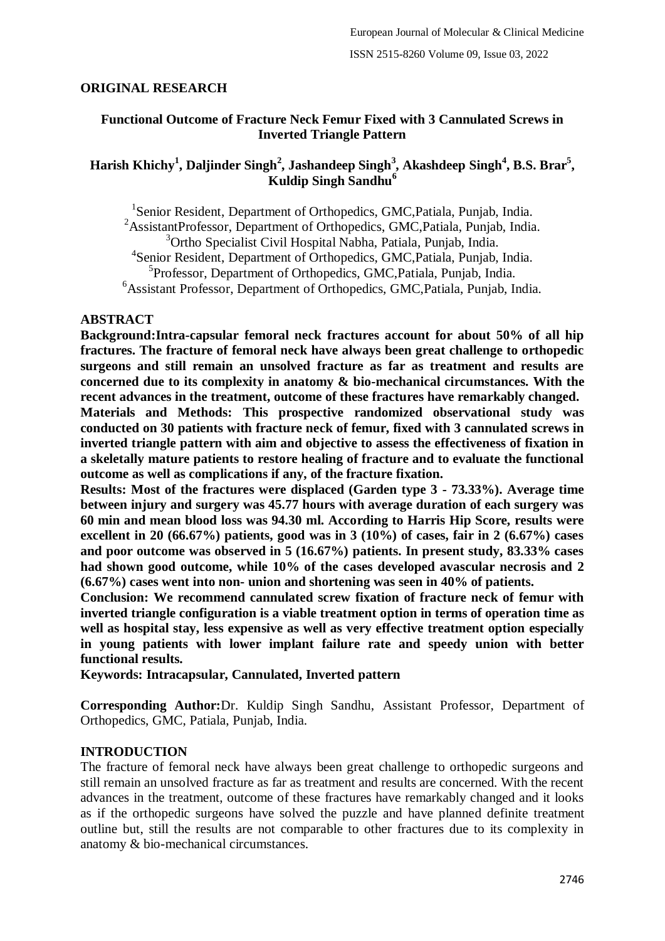## **ORIGINAL RESEARCH**

## **Functional Outcome of Fracture Neck Femur Fixed with 3 Cannulated Screws in Inverted Triangle Pattern**

# **Harish Khichy<sup>1</sup> , Daljinder Singh<sup>2</sup> , Jashandeep Singh<sup>3</sup> , Akashdeep Singh<sup>4</sup> , B.S. Brar<sup>5</sup> , Kuldip Singh Sandhu<sup>6</sup>**

<sup>1</sup>Senior Resident, Department of Orthopedics, GMC, Patiala, Punjab, India. <sup>2</sup>AssistantProfessor, Department of Orthopedics, GMC,Patiala, Punjab, India. <sup>3</sup>Ortho Specialist Civil Hospital Nabha, Patiala, Punjab, India. 4 Senior Resident, Department of Orthopedics, GMC,Patiala, Punjab, India. 5 Professor, Department of Orthopedics, GMC,Patiala, Punjab, India. <sup>6</sup>Assistant Professor, Department of Orthopedics, GMC, Patiala, Punjab, India.

### **ABSTRACT**

**Background:Intra-capsular femoral neck fractures account for about 50% of all hip fractures. The fracture of femoral neck have always been great challenge to orthopedic surgeons and still remain an unsolved fracture as far as treatment and results are concerned due to its complexity in anatomy & bio-mechanical circumstances. With the recent advances in the treatment, outcome of these fractures have remarkably changed.**

**Materials and Methods: This prospective randomized observational study was conducted on 30 patients with fracture neck of femur, fixed with 3 cannulated screws in inverted triangle pattern with aim and objective to assess the effectiveness of fixation in a skeletally mature patients to restore healing of fracture and to evaluate the functional outcome as well as complications if any, of the fracture fixation.**

**Results: Most of the fractures were displaced (Garden type 3 - 73.33%). Average time between injury and surgery was 45.77 hours with average duration of each surgery was 60 min and mean blood loss was 94.30 ml. According to Harris Hip Score, results were excellent in 20 (66.67%) patients, good was in 3 (10%) of cases, fair in 2 (6.67%) cases and poor outcome was observed in 5 (16.67%) patients. In present study, 83.33% cases had shown good outcome, while 10% of the cases developed avascular necrosis and 2 (6.67%) cases went into non- union and shortening was seen in 40% of patients.**

**Conclusion: We recommend cannulated screw fixation of fracture neck of femur with inverted triangle configuration is a viable treatment option in terms of operation time as well as hospital stay, less expensive as well as very effective treatment option especially in young patients with lower implant failure rate and speedy union with better functional results.**

**Keywords: Intracapsular, Cannulated, Inverted pattern** 

**Corresponding Author:**Dr. Kuldip Singh Sandhu, Assistant Professor, Department of Orthopedics, GMC, Patiala, Punjab, India.

## **INTRODUCTION**

The fracture of femoral neck have always been great challenge to orthopedic surgeons and still remain an unsolved fracture as far as treatment and results are concerned. With the recent advances in the treatment, outcome of these fractures have remarkably changed and it looks as if the orthopedic surgeons have solved the puzzle and have planned definite treatment outline but, still the results are not comparable to other fractures due to its complexity in anatomy & bio-mechanical circumstances.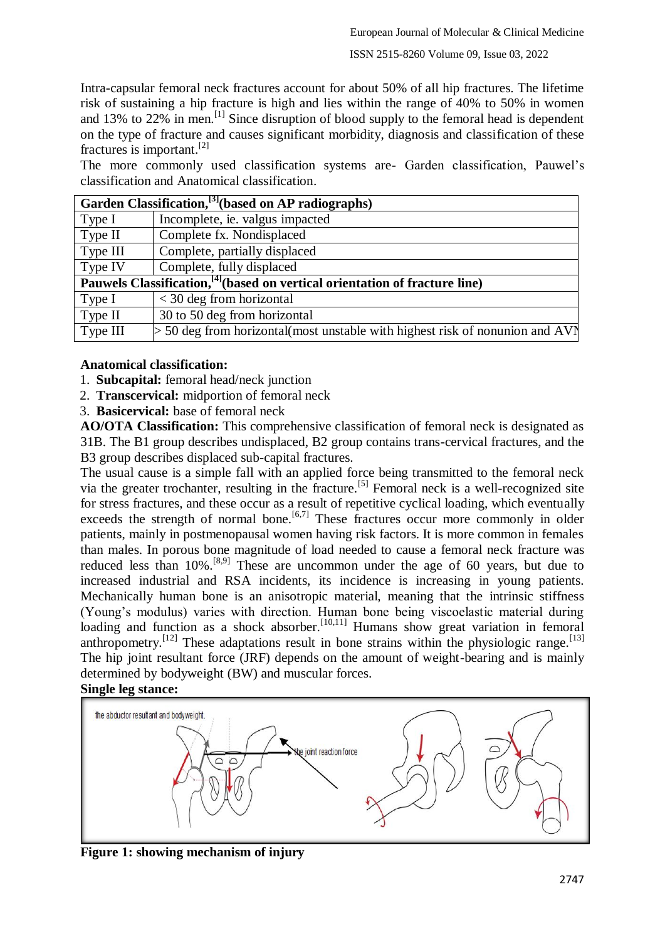Intra-capsular femoral neck fractures account for about 50% of all hip fractures. The lifetime risk of sustaining a hip fracture is high and lies within the range of 40% to 50% in women and 13% to  $22\%$  in men.<sup>[1]</sup> Since disruption of blood supply to the femoral head is dependent on the type of fracture and causes significant morbidity, diagnosis and classification of these fractures is important.[2]

The more commonly used classification systems are- Garden classification, Pauwel's classification and Anatomical classification.

| Garden Classification, <sup>[3]</sup> (based on AP radiographs)                         |                                                                                |  |  |
|-----------------------------------------------------------------------------------------|--------------------------------------------------------------------------------|--|--|
| Type $I$                                                                                | Incomplete, ie. valgus impacted                                                |  |  |
| Type II                                                                                 | Complete fx. Nondisplaced                                                      |  |  |
| Type III                                                                                | Complete, partially displaced                                                  |  |  |
| Type IV                                                                                 | Complete, fully displaced                                                      |  |  |
| Pauwels Classification, <sup>[4]</sup> (based on vertical orientation of fracture line) |                                                                                |  |  |
| Type $I$                                                                                | $<$ 30 deg from horizontal                                                     |  |  |
| Type II                                                                                 | 30 to 50 deg from horizontal                                                   |  |  |
| Type III                                                                                | $>$ 50 deg from horizontal(most unstable with highest risk of nonunion and AV) |  |  |

## **Anatomical classification:**

- 1. **Subcapital:** femoral head/neck junction
- 2. **Transcervical:** midportion of femoral neck
- 3. **Basicervical:** base of femoral neck

**AO/OTA Classification:** This comprehensive classification of femoral neck is designated as 31B. The B1 group describes undisplaced, B2 group contains trans-cervical fractures, and the B3 group describes displaced sub-capital fractures.

The usual cause is a simple fall with an applied force being transmitted to the femoral neck via the greater trochanter, resulting in the fracture.[5] Femoral neck is a well-recognized site for stress fractures, and these occur as a result of repetitive cyclical loading, which eventually exceeds the strength of normal bone.<sup>[6,7]</sup> These fractures occur more commonly in older patients, mainly in postmenopausal women having risk factors. It is more common in females than males. In porous bone magnitude of load needed to cause a femoral neck fracture was reduced less than 10%.<sup>[8,9]</sup> These are uncommon under the age of 60 years, but due to increased industrial and RSA incidents, its incidence is increasing in young patients. Mechanically human bone is an anisotropic material, meaning that the intrinsic stiffness (Young's modulus) varies with direction. Human bone being viscoelastic material during loading and function as a shock absorber.<sup>[10,11]</sup> Humans show great variation in femoral anthropometry.<sup>[12]</sup> These adaptations result in bone strains within the physiologic range.<sup>[13]</sup> The hip joint resultant force (JRF) depends on the amount of weight-bearing and is mainly determined by bodyweight (BW) and muscular forces.





**Figure 1: showing mechanism of injury**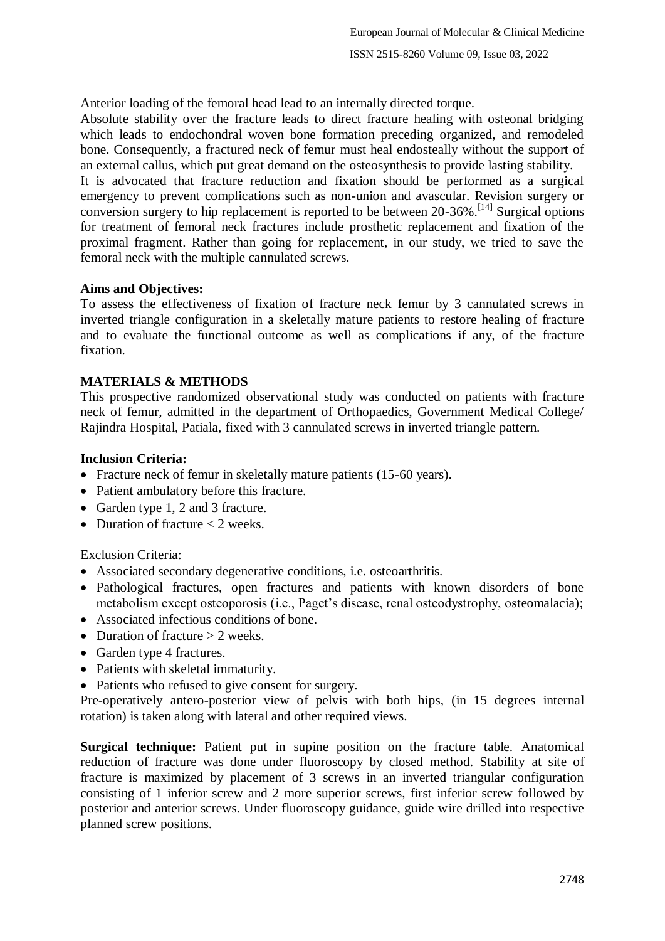Anterior loading of the femoral head lead to an internally directed torque.

Absolute stability over the fracture leads to direct fracture healing with osteonal bridging which leads to endochondral woven bone formation preceding organized, and remodeled bone. Consequently, a fractured neck of femur must heal endosteally without the support of an external callus, which put great demand on the osteosynthesis to provide lasting stability.

It is advocated that fracture reduction and fixation should be performed as a surgical emergency to prevent complications such as non-union and avascular. Revision surgery or conversion surgery to hip replacement is reported to be between 20-36%.[14] Surgical options for treatment of femoral neck fractures include prosthetic replacement and fixation of the proximal fragment. Rather than going for replacement, in our study, we tried to save the femoral neck with the multiple cannulated screws.

## **Aims and Objectives:**

To assess the effectiveness of fixation of fracture neck femur by 3 cannulated screws in inverted triangle configuration in a skeletally mature patients to restore healing of fracture and to evaluate the functional outcome as well as complications if any, of the fracture fixation.

## **MATERIALS & METHODS**

This prospective randomized observational study was conducted on patients with fracture neck of femur, admitted in the department of Orthopaedics, Government Medical College/ Rajindra Hospital, Patiala, fixed with 3 cannulated screws in inverted triangle pattern.

### **Inclusion Criteria:**

- Fracture neck of femur in skeletally mature patients (15-60 years).
- Patient ambulatory before this fracture.
- Garden type 1, 2 and 3 fracture.
- Duration of fracture  $<$  2 weeks.

Exclusion Criteria:

- Associated secondary degenerative conditions, i.e. osteoarthritis.
- Pathological fractures, open fractures and patients with known disorders of bone metabolism except osteoporosis (i.e., Paget's disease, renal osteodystrophy, osteomalacia);
- Associated infectious conditions of bone.
- Duration of fracture  $> 2$  weeks.
- Garden type 4 fractures.
- Patients with skeletal immaturity.
- Patients who refused to give consent for surgery.

Pre-operatively antero-posterior view of pelvis with both hips, (in 15 degrees internal rotation) is taken along with lateral and other required views.

**Surgical technique:** Patient put in supine position on the fracture table. Anatomical reduction of fracture was done under fluoroscopy by closed method. Stability at site of fracture is maximized by placement of 3 screws in an inverted triangular configuration consisting of 1 inferior screw and 2 more superior screws, first inferior screw followed by posterior and anterior screws. Under fluoroscopy guidance, guide wire drilled into respective planned screw positions.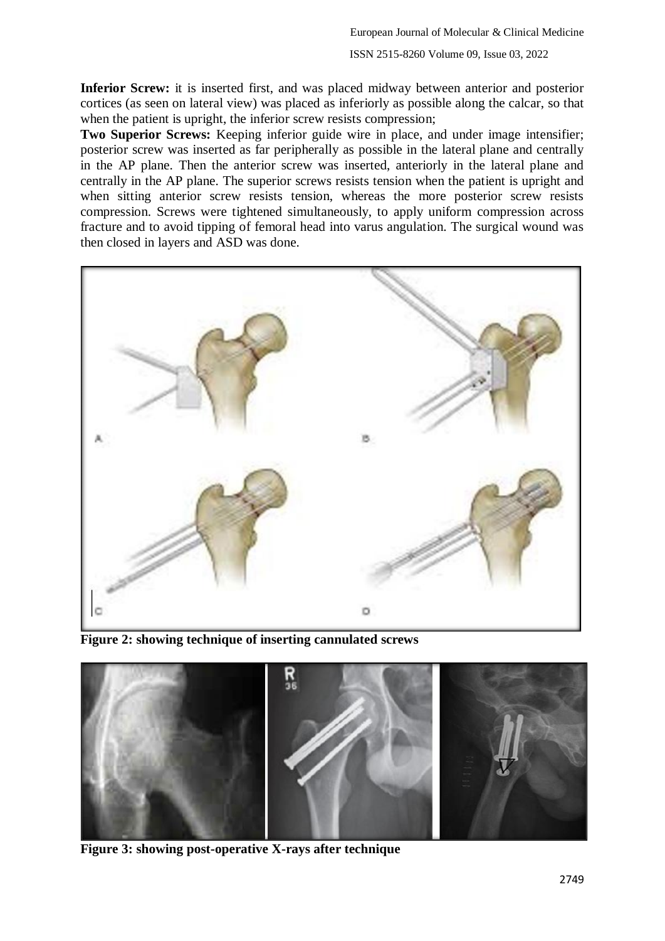**Inferior Screw:** it is inserted first, and was placed midway between anterior and posterior cortices (as seen on lateral view) was placed as inferiorly as possible along the calcar, so that when the patient is upright, the inferior screw resists compression;

**Two Superior Screws:** Keeping inferior guide wire in place, and under image intensifier; posterior screw was inserted as far peripherally as possible in the lateral plane and centrally in the AP plane. Then the anterior screw was inserted, anteriorly in the lateral plane and centrally in the AP plane. The superior screws resists tension when the patient is upright and when sitting anterior screw resists tension, whereas the more posterior screw resists compression. Screws were tightened simultaneously, to apply uniform compression across fracture and to avoid tipping of femoral head into varus angulation. The surgical wound was then closed in layers and ASD was done.



**Figure 2: showing technique of inserting cannulated screws**



**Figure 3: showing post-operative X-rays after technique**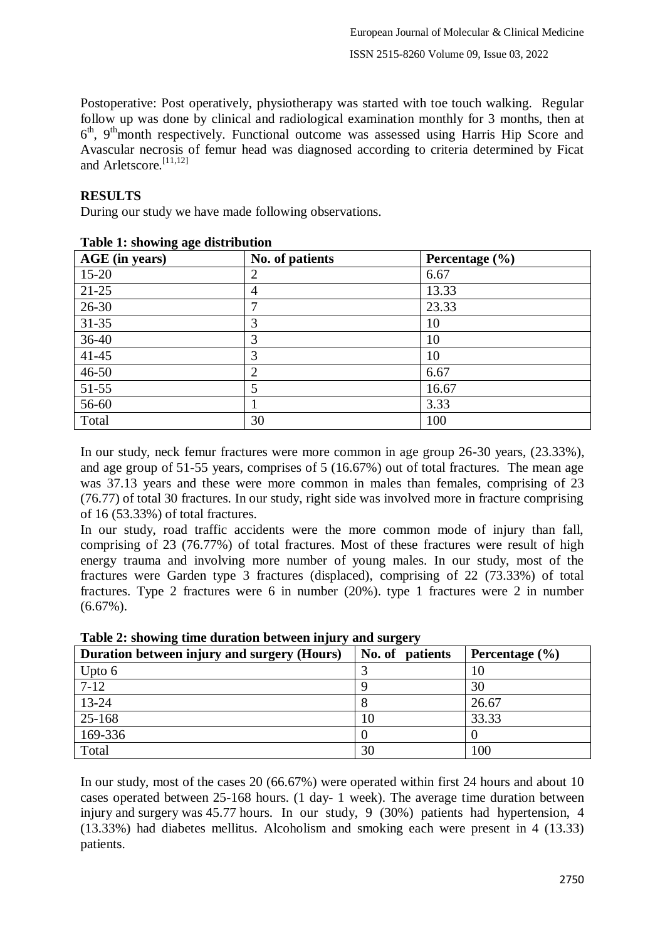Postoperative: Post operatively, physiotherapy was started with toe touch walking. Regular follow up was done by clinical and radiological examination monthly for 3 months, then at 6<sup>th</sup>, 9<sup>th</sup>month respectively. Functional outcome was assessed using Harris Hip Score and Avascular necrosis of femur head was diagnosed according to criteria determined by Ficat and Arletscore.[11,12]

### **RESULTS**

During our study we have made following observations.

| AGE (in years) | No. of patients | Percentage $(\% )$ |  |
|----------------|-----------------|--------------------|--|
| $15 - 20$      |                 | 6.67               |  |
| $21 - 25$      | $\overline{4}$  | 13.33              |  |
| $26 - 30$      |                 | 23.33              |  |
| $31 - 35$      |                 | 10                 |  |
| $36 - 40$      | 3               | 10                 |  |
| $41 - 45$      | 3               | 10                 |  |
| $46 - 50$      | $\overline{2}$  | 6.67               |  |
| 51-55          | 5               | 16.67              |  |
| 56-60          |                 | 3.33               |  |
| Total          | 30              | 100                |  |
|                |                 |                    |  |

### **Table 1: showing age distribution**

In our study, neck femur fractures were more common in age group 26-30 years, (23.33%), and age group of 51-55 years, comprises of 5 (16.67%) out of total fractures. The mean age was 37.13 years and these were more common in males than females, comprising of 23 (76.77) of total 30 fractures. In our study, right side was involved more in fracture comprising of 16 (53.33%) of total fractures.

In our study, road traffic accidents were the more common mode of injury than fall, comprising of 23 (76.77%) of total fractures. Most of these fractures were result of high energy trauma and involving more number of young males. In our study, most of the fractures were Garden type 3 fractures (displaced), comprising of 22 (73.33%) of total fractures. Type 2 fractures were 6 in number (20%). type 1 fractures were 2 in number  $(6.67\%)$ .

| Twore $\blacksquare$ , only while weighted because injury and burgery |                 |                    |  |
|-----------------------------------------------------------------------|-----------------|--------------------|--|
| Duration between injury and surgery (Hours)                           | No. of patients | Percentage $(\% )$ |  |
| Upto $6$                                                              |                 | 10                 |  |
| $7 - 12$                                                              |                 | 30                 |  |
| 13-24                                                                 |                 | 26.67              |  |
| 25-168                                                                | 10              | 33.33              |  |
| 169-336                                                               |                 |                    |  |
| Total                                                                 | 30              | 100                |  |

**Table 2: showing time duration between injury and surgery**

In our study, most of the cases 20 (66.67%) were operated within first 24 hours and about 10 cases operated between 25-168 hours. (1 day- 1 week). The average time duration between injury and surgery was 45.77 hours. In our study, 9 (30%) patients had hypertension, 4 (13.33%) had diabetes mellitus. Alcoholism and smoking each were present in 4 (13.33) patients.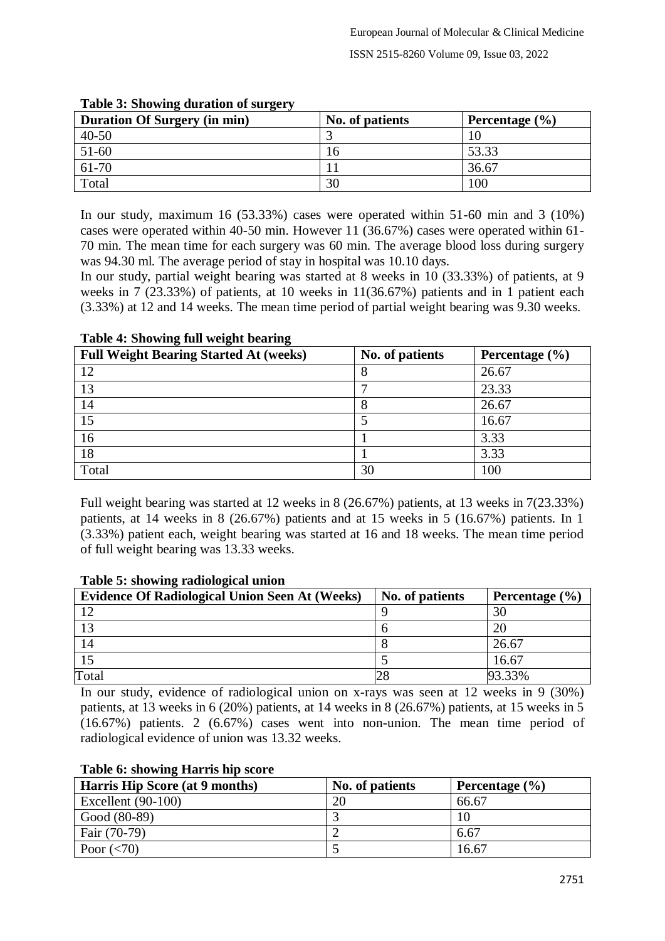| <b>Duration Of Surgery (in min)</b> | No. of patients | Percentage $(\% )$ |
|-------------------------------------|-----------------|--------------------|
| $40 - 50$                           |                 |                    |
| 51-60                               |                 | 53.33              |
| 61-70                               |                 | 36.67              |
| Total                               | 30              | 100                |

### **Table 3: Showing duration of surgery**

In our study, maximum 16 (53.33%) cases were operated within 51-60 min and 3 (10%) cases were operated within 40-50 min. However 11 (36.67%) cases were operated within 61- 70 min. The mean time for each surgery was 60 min. The average blood loss during surgery was 94.30 ml. The average period of stay in hospital was 10.10 days.

In our study, partial weight bearing was started at 8 weeks in 10 (33.33%) of patients, at 9 weeks in 7 (23.33%) of patients, at 10 weeks in 11(36.67%) patients and in 1 patient each (3.33%) at 12 and 14 weeks. The mean time period of partial weight bearing was 9.30 weeks.

| <b>Full Weight Bearing Started At (weeks)</b> | No. of patients | Percentage $(\% )$ |
|-----------------------------------------------|-----------------|--------------------|
| 12                                            | О               | 26.67              |
| 13                                            |                 | 23.33              |
| 14                                            |                 | 26.67              |
| 15                                            |                 | 16.67              |
| 16                                            |                 | 3.33               |
| 18                                            |                 | 3.33               |
| Total                                         | 30              | 100                |

### **Table 4: Showing full weight bearing**

Full weight bearing was started at 12 weeks in 8 (26.67%) patients, at 13 weeks in 7(23.33%) patients, at 14 weeks in 8 (26.67%) patients and at 15 weeks in 5 (16.67%) patients. In 1 (3.33%) patient each, weight bearing was started at 16 and 18 weeks. The mean time period of full weight bearing was 13.33 weeks.

| Tuble of showing rudiological difform                 |                 |                    |  |
|-------------------------------------------------------|-----------------|--------------------|--|
| <b>Evidence Of Radiological Union Seen At (Weeks)</b> | No. of patients | Percentage $(\% )$ |  |
|                                                       |                 | 30                 |  |
| 13                                                    |                 | 20                 |  |
| 14                                                    |                 | 26.67              |  |
|                                                       |                 | 16.67              |  |
| Total                                                 |                 | 93.33%             |  |

### **Table 5: showing radiological union**

In our study, evidence of radiological union on x-rays was seen at 12 weeks in 9 (30%) patients, at 13 weeks in 6 (20%) patients, at 14 weeks in 8 (26.67%) patients, at 15 weeks in 5 (16.67%) patients. 2 (6.67%) cases went into non-union. The mean time period of radiological evidence of union was 13.32 weeks.

| <b>Harris Hip Score (at 9 months)</b> | No. of patients | Percentage $(\% )$ |
|---------------------------------------|-----------------|--------------------|
| Excellent $(90-100)$                  | 20              | 66.67              |
| Good (80-89)                          |                 |                    |
| Fair (70-79)                          |                 | 6.67               |
| Poor $(< 70)$                         |                 | 16.67              |

#### **Table 6: showing Harris hip score**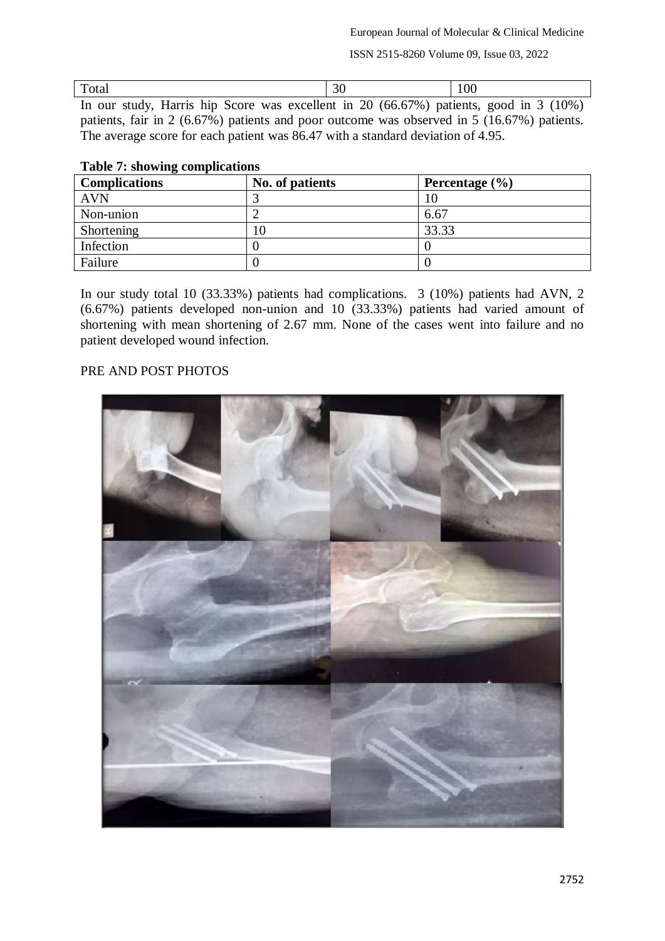ISSN 2515-8260 Volume 09, Issue 03, 2022

| Total                                                                                 | 100 |  |
|---------------------------------------------------------------------------------------|-----|--|
| In our study, Harris hip Score was excellent in 20 (66.67%) patients, good in 3 (10%) |     |  |

patients, fair in 2 (6.67%) patients and poor outcome was observed in 5 (16.67%) patients. The average score for each patient was 86.47 with a standard deviation of 4.95.

| Lavic 7, showing complications |                 |                    |  |
|--------------------------------|-----------------|--------------------|--|
| <b>Complications</b>           | No. of patients | Percentage $(\% )$ |  |
| <b>AVN</b>                     |                 |                    |  |
| Non-union                      |                 | 6.67               |  |
| Shortening                     | 10              | 33.33              |  |
| Infection                      |                 |                    |  |
| Failure                        |                 |                    |  |

### **Table 7: showing complications**

In our study total 10 (33.33%) patients had complications. 3 (10%) patients had AVN, 2 (6.67%) patients developed non-union and 10 (33.33%) patients had varied amount of shortening with mean shortening of 2.67 mm. None of the cases went into failure and no patient developed wound infection.

## PRE AND POST PHOTOS

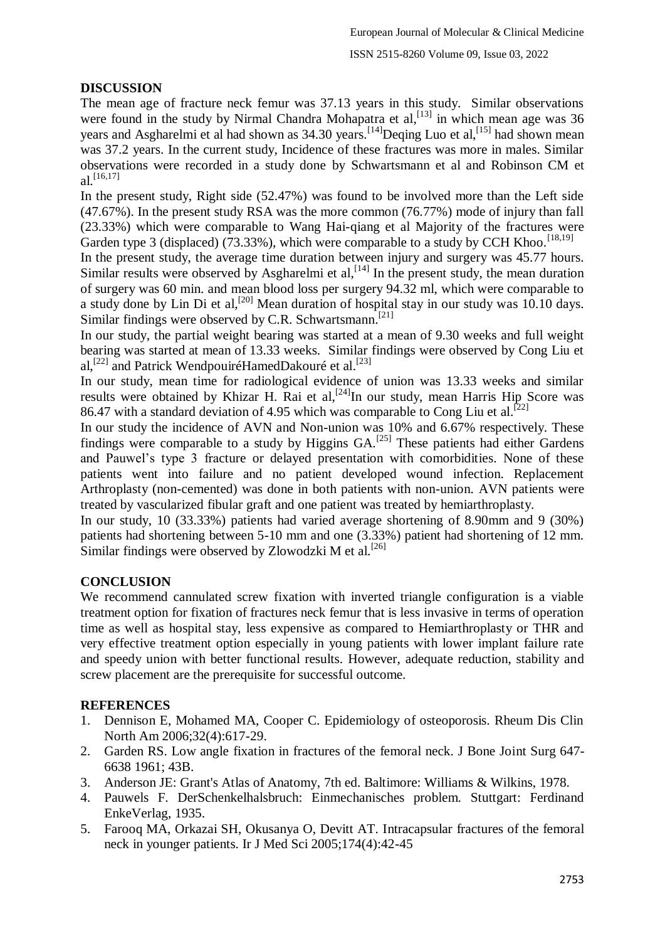# **DISCUSSION**

The mean age of fracture neck femur was 37.13 years in this study. Similar observations were found in the study by Nirmal Chandra Mohapatra et al,  $^{[13]}$  in which mean age was 36 years and Asgharelmi et al had shown as 34.30 years.<sup>[14]</sup>Deqing Luo et al,<sup>[15]</sup> had shown mean was 37.2 years. In the current study, Incidence of these fractures was more in males. Similar observations were recorded in a study done by Schwartsmann et al and Robinson CM et al.  $[16, 17]$ 

In the present study, Right side (52.47%) was found to be involved more than the Left side (47.67%). In the present study RSA was the more common (76.77%) mode of injury than fall (23.33%) which were comparable to Wang Hai-qiang et al Majority of the fractures were Garden type 3 (displaced) (73.33%), which were comparable to a study by CCH Khoo.<sup>[18,19]</sup>

In the present study, the average time duration between injury and surgery was 45.77 hours. Similar results were observed by Asgharelmi et  $al$ ,  $[14]$  In the present study, the mean duration of surgery was 60 min. and mean blood loss per surgery 94.32 ml, which were comparable to a study done by Lin Di et al,<sup>[20]</sup> Mean duration of hospital stay in our study was 10.10 days. Similar findings were observed by C.R. Schwartsmann.<sup>[21]</sup>

In our study, the partial weight bearing was started at a mean of 9.30 weeks and full weight bearing was started at mean of 13.33 weeks. Similar findings were observed by Cong Liu et al,<sup>[22]</sup> and Patrick WendpouiréHamedDakouré et al.<sup>[23]</sup>

In our study, mean time for radiological evidence of union was 13.33 weeks and similar results were obtained by Khizar H. Rai et al,<sup>[24]</sup>In our study, mean Harris Hip Score was 86.47 with a standard deviation of 4.95 which was comparable to Cong Liu et al.<sup>[22]</sup>

In our study the incidence of AVN and Non-union was 10% and 6.67% respectively. These findings were comparable to a study by Higgins  $GA$ <sup>[25]</sup> These patients had either Gardens and Pauwel's type 3 fracture or delayed presentation with comorbidities. None of these patients went into failure and no patient developed wound infection. Replacement Arthroplasty (non-cemented) was done in both patients with non-union. AVN patients were treated by vascularized fibular graft and one patient was treated by hemiarthroplasty.

In our study, 10 (33.33%) patients had varied average shortening of 8.90mm and 9 (30%) patients had shortening between 5-10 mm and one (3.33%) patient had shortening of 12 mm. Similar findings were observed by Zlowodzki M et al.<sup>[26]</sup>

## **CONCLUSION**

We recommend cannulated screw fixation with inverted triangle configuration is a viable treatment option for fixation of fractures neck femur that is less invasive in terms of operation time as well as hospital stay, less expensive as compared to Hemiarthroplasty or THR and very effective treatment option especially in young patients with lower implant failure rate and speedy union with better functional results. However, adequate reduction, stability and screw placement are the prerequisite for successful outcome.

## **REFERENCES**

- 1. Dennison E, Mohamed MA, Cooper C. Epidemiology of osteoporosis. Rheum Dis Clin North Am 2006;32(4):617-29.
- 2. Garden RS. Low angle fixation in fractures of the femoral neck. J Bone Joint Surg 647- 6638 1961; 43B.
- 3. Anderson JE: Grant's Atlas of Anatomy, 7th ed. Baltimore: Williams & Wilkins, 1978.
- 4. Pauwels F. DerSchenkelhalsbruch: Einmechanisches problem. Stuttgart: Ferdinand EnkeVerlag, 1935.
- 5. Farooq MA, Orkazai SH, Okusanya O, Devitt AT. Intracapsular fractures of the femoral neck in younger patients. Ir J Med Sci 2005;174(4):42-45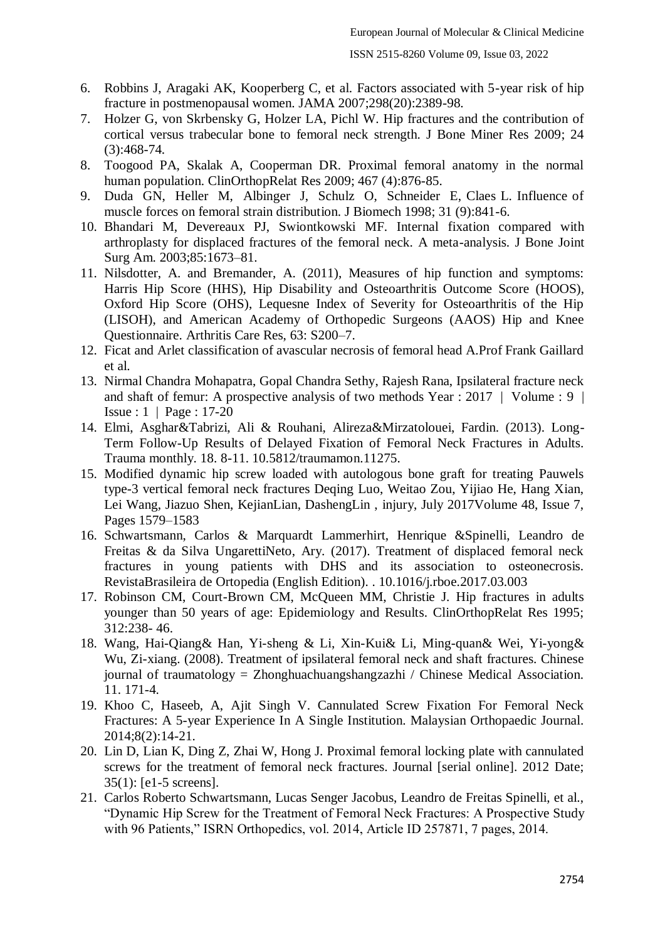- 6. Robbins J, Aragaki AK, Kooperberg C, et al. Factors associated with 5-year risk of hip fracture in postmenopausal women. JAMA 2007;298(20):2389-98.
- 7. Holzer G, von Skrbensky G, Holzer LA, Pichl W. Hip fractures and the contribution of cortical versus trabecular bone to femoral neck strength. J Bone Miner Res 2009; 24 (3):468-74.
- 8. Toogood PA, Skalak A, Cooperman DR. Proximal femoral anatomy in the normal human population. ClinOrthopRelat Res 2009; 467 (4):876-85.
- 9. Duda GN, Heller M, Albinger J, Schulz O, Schneider E, Claes L. Influence of muscle forces on femoral strain distribution. J Biomech 1998; 31 (9):841-6.
- 10. Bhandari M, Devereaux PJ, Swiontkowski MF. Internal fixation compared with arthroplasty for displaced fractures of the femoral neck. A meta-analysis. J Bone Joint Surg Am. 2003;85:1673–81.
- 11. Nilsdotter, A. and Bremander, A. (2011), Measures of hip function and symptoms: Harris Hip Score (HHS), Hip Disability and Osteoarthritis Outcome Score (HOOS), Oxford Hip Score (OHS), Lequesne Index of Severity for Osteoarthritis of the Hip (LISOH), and American Academy of Orthopedic Surgeons (AAOS) Hip and Knee Questionnaire. Arthritis Care Res, 63: S200–7.
- 12. Ficat and Arlet classification of avascular necrosis of femoral head A.Prof Frank Gaillard et al.
- 13. Nirmal Chandra Mohapatra, Gopal Chandra Sethy, Rajesh Rana, Ipsilateral fracture neck and shaft of femur: A prospective analysis of two methods Year : 2017 | Volume : 9 | Issue : 1 | Page : 17-20
- 14. Elmi, Asghar&Tabrizi, Ali & Rouhani, Alireza&Mirzatolouei, Fardin. (2013). Long-Term Follow-Up Results of Delayed Fixation of Femoral Neck Fractures in Adults. Trauma monthly. 18. 8-11. 10.5812/traumamon.11275.
- 15. Modified dynamic hip screw loaded with autologous bone graft for treating Pauwels type-3 vertical femoral neck fractures Deqing Luo, Weitao Zou, Yijiao He, Hang Xian, Lei Wang, Jiazuo Shen, KejianLian, DashengLin , injury, July 2017Volume 48, Issue 7, Pages 1579–1583
- 16. Schwartsmann, Carlos & Marquardt Lammerhirt, Henrique &Spinelli, Leandro de Freitas & da Silva UngarettiNeto, Ary. (2017). Treatment of displaced femoral neck fractures in young patients with DHS and its association to osteonecrosis. RevistaBrasileira de Ortopedia (English Edition). . 10.1016/j.rboe.2017.03.003
- 17. Robinson CM, Court-Brown CM, McQueen MM, Christie J. Hip fractures in adults younger than 50 years of age: Epidemiology and Results. ClinOrthopRelat Res 1995; 312:238- 46.
- 18. Wang, Hai-Qiang& Han, Yi-sheng & Li, Xin-Kui& Li, Ming-quan& Wei, Yi-yong& Wu, Zi-xiang. (2008). Treatment of ipsilateral femoral neck and shaft fractures. Chinese journal of traumatology = Zhonghuachuangshangzazhi / Chinese Medical Association. 11. 171-4.
- 19. Khoo C, Haseeb, A, Ajit Singh V. Cannulated Screw Fixation For Femoral Neck Fractures: A 5-year Experience In A Single Institution. Malaysian Orthopaedic Journal. 2014;8(2):14-21.
- 20. Lin D, Lian K, Ding Z, Zhai W, Hong J. Proximal femoral locking plate with cannulated screws for the treatment of femoral neck fractures. Journal [serial online]. 2012 Date; 35(1): [e1-5 screens].
- 21. Carlos Roberto Schwartsmann, Lucas Senger Jacobus, Leandro de Freitas Spinelli, et al., "Dynamic Hip Screw for the Treatment of Femoral Neck Fractures: A Prospective Study with 96 Patients," ISRN Orthopedics, vol. 2014, Article ID 257871, 7 pages, 2014.